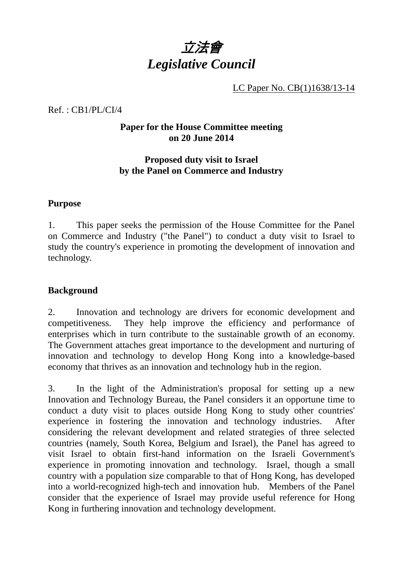

LC Paper No. CB(1)1638/13-14

Ref. : CB1/PL/CI/4

# **Paper for the House Committee meeting on 20 June 2014**

# **Proposed duty visit to Israel by the Panel on Commerce and Industry**

#### **Purpose**

1. This paper seeks the permission of the House Committee for the Panel on Commerce and Industry ("the Panel") to conduct a duty visit to Israel to study the country's experience in promoting the development of innovation and technology.

## **Background**

2. Innovation and technology are drivers for economic development and competitiveness. They help improve the efficiency and performance of enterprises which in turn contribute to the sustainable growth of an economy. The Government attaches great importance to the development and nurturing of innovation and technology to develop Hong Kong into a knowledge-based economy that thrives as an innovation and technology hub in the region.

3. In the light of the Administration's proposal for setting up a new Innovation and Technology Bureau, the Panel considers it an opportune time to conduct a duty visit to places outside Hong Kong to study other countries' experience in fostering the innovation and technology industries. After considering the relevant development and related strategies of three selected countries (namely, South Korea, Belgium and Israel), the Panel has agreed to visit Israel to obtain first-hand information on the Israeli Government's experience in promoting innovation and technology. Israel, though a small country with a population size comparable to that of Hong Kong, has developed into a world-recognized high-tech and innovation hub. Members of the Panel consider that the experience of Israel may provide useful reference for Hong Kong in furthering innovation and technology development.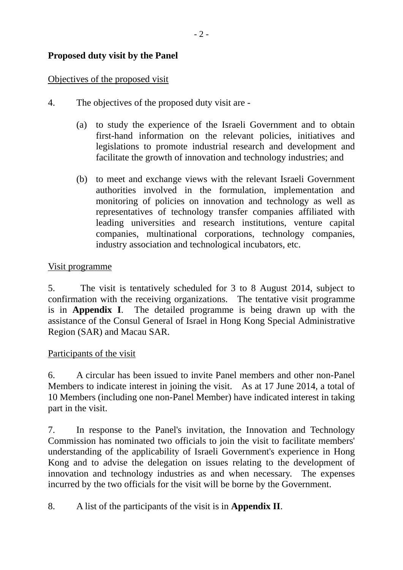# **Proposed duty visit by the Panel**

## Objectives of the proposed visit

- 4. The objectives of the proposed duty visit are
	- (a) to study the experience of the Israeli Government and to obtain first-hand information on the relevant policies, initiatives and legislations to promote industrial research and development and facilitate the growth of innovation and technology industries; and
	- (b) to meet and exchange views with the relevant Israeli Government authorities involved in the formulation, implementation and monitoring of policies on innovation and technology as well as representatives of technology transfer companies affiliated with leading universities and research institutions, venture capital companies, multinational corporations, technology companies, industry association and technological incubators, etc.

## Visit programme

5. The visit is tentatively scheduled for 3 to 8 August 2014, subject to confirmation with the receiving organizations. The tentative visit programme is in **Appendix I**. The detailed programme is being drawn up with the assistance of the Consul General of Israel in Hong Kong Special Administrative Region (SAR) and Macau SAR.

## Participants of the visit

6. A circular has been issued to invite Panel members and other non-Panel Members to indicate interest in joining the visit. As at 17 June 2014, a total of 10 Members (including one non-Panel Member) have indicated interest in taking part in the visit.

7. In response to the Panel's invitation, the Innovation and Technology Commission has nominated two officials to join the visit to facilitate members' understanding of the applicability of Israeli Government's experience in Hong Kong and to advise the delegation on issues relating to the development of innovation and technology industries as and when necessary. The expenses incurred by the two officials for the visit will be borne by the Government.

8. A list of the participants of the visit is in **Appendix II**.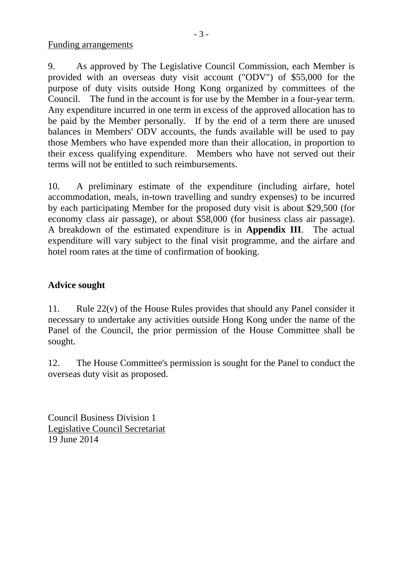Funding arrangements

9. As approved by The Legislative Council Commission, each Member is provided with an overseas duty visit account ("ODV") of \$55,000 for the purpose of duty visits outside Hong Kong organized by committees of the Council. The fund in the account is for use by the Member in a four-year term. Any expenditure incurred in one term in excess of the approved allocation has to be paid by the Member personally. If by the end of a term there are unused balances in Members' ODV accounts, the funds available will be used to pay those Members who have expended more than their allocation, in proportion to their excess qualifying expenditure. Members who have not served out their terms will not be entitled to such reimbursements.

10. A preliminary estimate of the expenditure (including airfare, hotel accommodation, meals, in-town travelling and sundry expenses) to be incurred by each participating Member for the proposed duty visit is about \$29,500 (for economy class air passage), or about \$58,000 (for business class air passage). A breakdown of the estimated expenditure is in **Appendix III**. The actual expenditure will vary subject to the final visit programme, and the airfare and hotel room rates at the time of confirmation of booking.

# **Advice sought**

11. Rule 22(v) of the House Rules provides that should any Panel consider it necessary to undertake any activities outside Hong Kong under the name of the Panel of the Council, the prior permission of the House Committee shall be sought.

12. The House Committee's permission is sought for the Panel to conduct the overseas duty visit as proposed.

Council Business Division 1 Legislative Council Secretariat 19 June 2014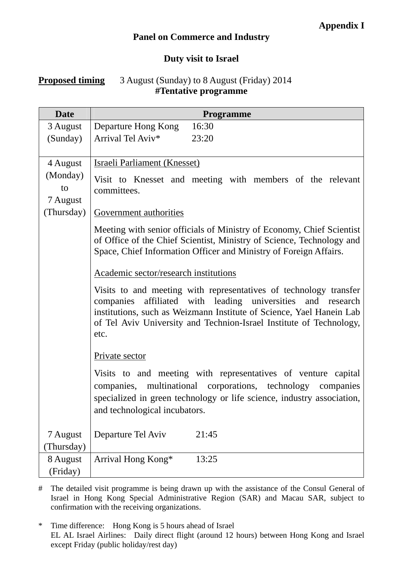# **Panel on Commerce and Industry**

## **Duty visit to Israel**

# **Proposed timing** 3 August (Sunday) to 8 August (Friday) 2014 **#Tentative programme**

| <b>Date</b>                                          | Programme                                                                                                                                                                                                                                                                                                                                                                                                                                                                                                                                                                                                                                                                                                                                                                                                                                                                                                                                                         |  |  |  |
|------------------------------------------------------|-------------------------------------------------------------------------------------------------------------------------------------------------------------------------------------------------------------------------------------------------------------------------------------------------------------------------------------------------------------------------------------------------------------------------------------------------------------------------------------------------------------------------------------------------------------------------------------------------------------------------------------------------------------------------------------------------------------------------------------------------------------------------------------------------------------------------------------------------------------------------------------------------------------------------------------------------------------------|--|--|--|
| 3 August                                             | Departure Hong Kong<br>16:30                                                                                                                                                                                                                                                                                                                                                                                                                                                                                                                                                                                                                                                                                                                                                                                                                                                                                                                                      |  |  |  |
| (Sunday)                                             | Arrival Tel Aviv*<br>23:20                                                                                                                                                                                                                                                                                                                                                                                                                                                                                                                                                                                                                                                                                                                                                                                                                                                                                                                                        |  |  |  |
| 4 August<br>(Monday)<br>to<br>7 August<br>(Thursday) | <b>Israeli Parliament (Knesset)</b><br>Visit to Knesset and meeting with members of the relevant<br>committees.<br>Government authorities<br>Meeting with senior officials of Ministry of Economy, Chief Scientist<br>of Office of the Chief Scientist, Ministry of Science, Technology and<br>Space, Chief Information Officer and Ministry of Foreign Affairs.<br>Academic sector/research institutions<br>Visits to and meeting with representatives of technology transfer<br>companies affiliated with leading universities and research<br>institutions, such as Weizmann Institute of Science, Yael Hanein Lab<br>of Tel Aviv University and Technion-Israel Institute of Technology,<br>etc.<br>Private sector<br>Visits to and meeting with representatives of venture capital<br>companies, multinational corporations, technology companies<br>specialized in green technology or life science, industry association,<br>and technological incubators. |  |  |  |
| 7 August                                             | Departure Tel Aviv<br>21:45                                                                                                                                                                                                                                                                                                                                                                                                                                                                                                                                                                                                                                                                                                                                                                                                                                                                                                                                       |  |  |  |
| (Thursday)                                           |                                                                                                                                                                                                                                                                                                                                                                                                                                                                                                                                                                                                                                                                                                                                                                                                                                                                                                                                                                   |  |  |  |
| 8 August<br>(Friday)                                 | Arrival Hong Kong*<br>13:25                                                                                                                                                                                                                                                                                                                                                                                                                                                                                                                                                                                                                                                                                                                                                                                                                                                                                                                                       |  |  |  |

# The detailed visit programme is being drawn up with the assistance of the Consul General of Israel in Hong Kong Special Administrative Region (SAR) and Macau SAR, subject to confirmation with the receiving organizations.

<sup>\*</sup> Time difference: Hong Kong is 5 hours ahead of Israel EL AL Israel Airlines: Daily direct flight (around 12 hours) between Hong Kong and Israel except Friday (public holiday/rest day)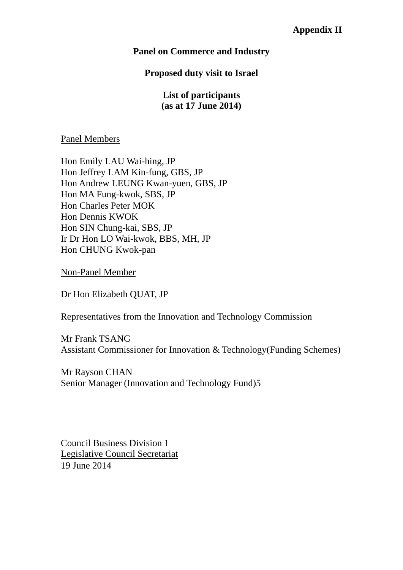# **Panel on Commerce and Industry**

## **Proposed duty visit to Israel**

**List of participants (as at 17 June 2014)** 

#### Panel Members

Hon Emily LAU Wai-hing, JP Hon Jeffrey LAM Kin-fung, GBS, JP Hon Andrew LEUNG Kwan-yuen, GBS, JP Hon MA Fung-kwok, SBS, JP Hon Charles Peter MOK Hon Dennis KWOK Hon SIN Chung-kai, SBS, JP Ir Dr Hon LO Wai-kwok, BBS, MH, JP Hon CHUNG Kwok-pan

Non-Panel Member

Dr Hon Elizabeth QUAT, JP

#### Representatives from the Innovation and Technology Commission

Mr Frank TSANG Assistant Commissioner for Innovation & Technology(Funding Schemes)

Mr Rayson CHAN Senior Manager (Innovation and Technology Fund)5

Council Business Division 1 Legislative Council Secretariat 19 June 2014